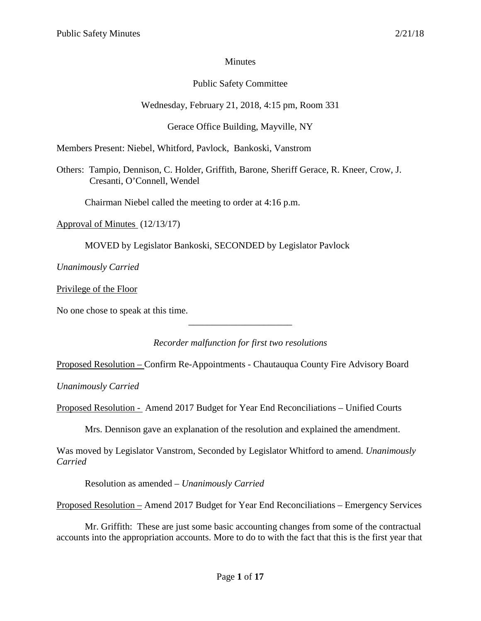## Minutes

## Public Safety Committee

# Wednesday, February 21, 2018, 4:15 pm, Room 331

# Gerace Office Building, Mayville, NY

Members Present: Niebel, Whitford, Pavlock, Bankoski, Vanstrom

Others: Tampio, Dennison, C. Holder, Griffith, Barone, Sheriff Gerace, R. Kneer, Crow, J. Cresanti, O'Connell, Wendel

Chairman Niebel called the meeting to order at 4:16 p.m.

Approval of Minutes (12/13/17)

MOVED by Legislator Bankoski, SECONDED by Legislator Pavlock

*Unanimously Carried*

Privilege of the Floor

No one chose to speak at this time.

*Recorder malfunction for first two resolutions*

\_\_\_\_\_\_\_\_\_\_\_\_\_\_\_\_\_\_\_\_\_\_

Proposed Resolution – Confirm Re-Appointments - Chautauqua County Fire Advisory Board

*Unanimously Carried*

Proposed Resolution - Amend 2017 Budget for Year End Reconciliations – Unified Courts

Mrs. Dennison gave an explanation of the resolution and explained the amendment.

Was moved by Legislator Vanstrom, Seconded by Legislator Whitford to amend. *Unanimously Carried*

Resolution as amended – *Unanimously Carried*

Proposed Resolution – Amend 2017 Budget for Year End Reconciliations – Emergency Services

Mr. Griffith: These are just some basic accounting changes from some of the contractual accounts into the appropriation accounts. More to do to with the fact that this is the first year that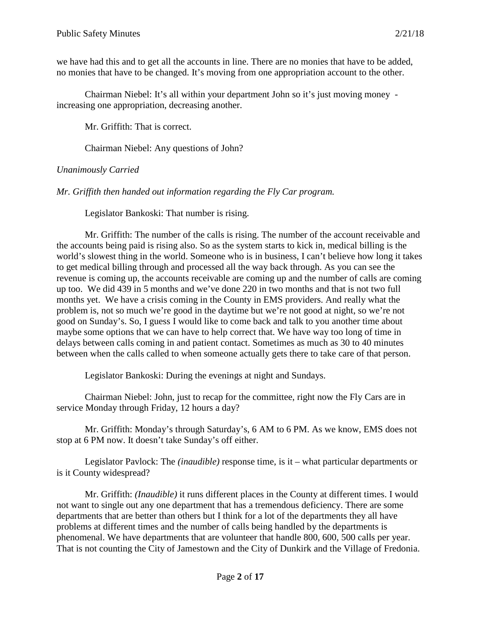we have had this and to get all the accounts in line. There are no monies that have to be added, no monies that have to be changed. It's moving from one appropriation account to the other.

Chairman Niebel: It's all within your department John so it's just moving money increasing one appropriation, decreasing another.

Mr. Griffith: That is correct.

Chairman Niebel: Any questions of John?

## *Unanimously Carried*

*Mr. Griffith then handed out information regarding the Fly Car program.*

Legislator Bankoski: That number is rising.

Mr. Griffith: The number of the calls is rising. The number of the account receivable and the accounts being paid is rising also. So as the system starts to kick in, medical billing is the world's slowest thing in the world. Someone who is in business, I can't believe how long it takes to get medical billing through and processed all the way back through. As you can see the revenue is coming up, the accounts receivable are coming up and the number of calls are coming up too. We did 439 in 5 months and we've done 220 in two months and that is not two full months yet. We have a crisis coming in the County in EMS providers. And really what the problem is, not so much we're good in the daytime but we're not good at night, so we're not good on Sunday's. So, I guess I would like to come back and talk to you another time about maybe some options that we can have to help correct that. We have way too long of time in delays between calls coming in and patient contact. Sometimes as much as 30 to 40 minutes between when the calls called to when someone actually gets there to take care of that person.

Legislator Bankoski: During the evenings at night and Sundays.

Chairman Niebel: John, just to recap for the committee, right now the Fly Cars are in service Monday through Friday, 12 hours a day?

Mr. Griffith: Monday's through Saturday's, 6 AM to 6 PM. As we know, EMS does not stop at 6 PM now. It doesn't take Sunday's off either.

Legislator Pavlock: The *(inaudible)* response time, is it – what particular departments or is it County widespread?

Mr. Griffith: *(Inaudible)* it runs different places in the County at different times. I would not want to single out any one department that has a tremendous deficiency. There are some departments that are better than others but I think for a lot of the departments they all have problems at different times and the number of calls being handled by the departments is phenomenal. We have departments that are volunteer that handle 800, 600, 500 calls per year. That is not counting the City of Jamestown and the City of Dunkirk and the Village of Fredonia.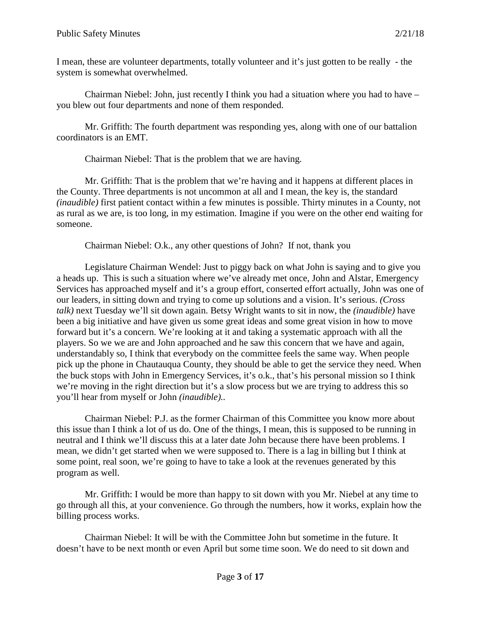I mean, these are volunteer departments, totally volunteer and it's just gotten to be really - the system is somewhat overwhelmed.

Chairman Niebel: John, just recently I think you had a situation where you had to have – you blew out four departments and none of them responded.

Mr. Griffith: The fourth department was responding yes, along with one of our battalion coordinators is an EMT.

Chairman Niebel: That is the problem that we are having.

Mr. Griffith: That is the problem that we're having and it happens at different places in the County. Three departments is not uncommon at all and I mean, the key is, the standard *(inaudible)* first patient contact within a few minutes is possible. Thirty minutes in a County, not as rural as we are, is too long, in my estimation. Imagine if you were on the other end waiting for someone.

Chairman Niebel: O.k., any other questions of John? If not, thank you

Legislature Chairman Wendel: Just to piggy back on what John is saying and to give you a heads up. This is such a situation where we've already met once, John and Alstar, Emergency Services has approached myself and it's a group effort, conserted effort actually, John was one of our leaders, in sitting down and trying to come up solutions and a vision. It's serious. *(Cross talk)* next Tuesday we'll sit down again. Betsy Wright wants to sit in now, the *(inaudible)* have been a big initiative and have given us some great ideas and some great vision in how to move forward but it's a concern. We're looking at it and taking a systematic approach with all the players. So we we are and John approached and he saw this concern that we have and again, understandably so, I think that everybody on the committee feels the same way. When people pick up the phone in Chautauqua County, they should be able to get the service they need. When the buck stops with John in Emergency Services, it's o.k., that's his personal mission so I think we're moving in the right direction but it's a slow process but we are trying to address this so you'll hear from myself or John *(inaudible)..*

Chairman Niebel: P.J. as the former Chairman of this Committee you know more about this issue than I think a lot of us do. One of the things, I mean, this is supposed to be running in neutral and I think we'll discuss this at a later date John because there have been problems. I mean, we didn't get started when we were supposed to. There is a lag in billing but I think at some point, real soon, we're going to have to take a look at the revenues generated by this program as well.

Mr. Griffith: I would be more than happy to sit down with you Mr. Niebel at any time to go through all this, at your convenience. Go through the numbers, how it works, explain how the billing process works.

Chairman Niebel: It will be with the Committee John but sometime in the future. It doesn't have to be next month or even April but some time soon. We do need to sit down and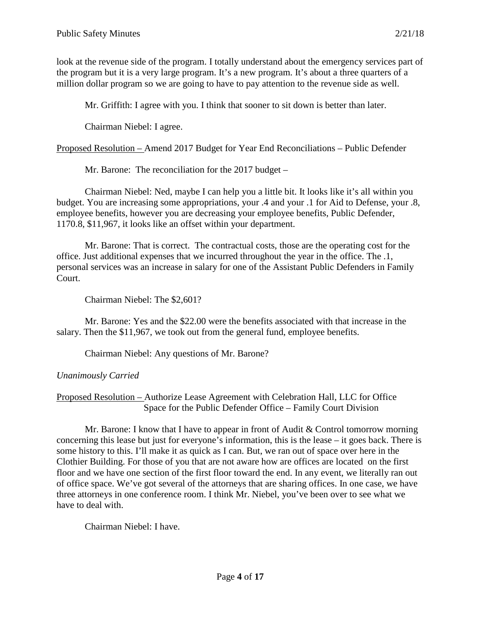look at the revenue side of the program. I totally understand about the emergency services part of the program but it is a very large program. It's a new program. It's about a three quarters of a million dollar program so we are going to have to pay attention to the revenue side as well.

Mr. Griffith: I agree with you. I think that sooner to sit down is better than later.

Chairman Niebel: I agree.

Proposed Resolution – Amend 2017 Budget for Year End Reconciliations – Public Defender

Mr. Barone: The reconciliation for the 2017 budget –

Chairman Niebel: Ned, maybe I can help you a little bit. It looks like it's all within you budget. You are increasing some appropriations, your .4 and your .1 for Aid to Defense, your .8, employee benefits, however you are decreasing your employee benefits, Public Defender, 1170.8, \$11,967, it looks like an offset within your department.

Mr. Barone: That is correct. The contractual costs, those are the operating cost for the office. Just additional expenses that we incurred throughout the year in the office. The .1, personal services was an increase in salary for one of the Assistant Public Defenders in Family Court.

Chairman Niebel: The \$2,601?

Mr. Barone: Yes and the \$22.00 were the benefits associated with that increase in the salary. Then the \$11,967, we took out from the general fund, employee benefits.

Chairman Niebel: Any questions of Mr. Barone?

## *Unanimously Carried*

## Proposed Resolution – Authorize Lease Agreement with Celebration Hall, LLC for Office Space for the Public Defender Office – Family Court Division

Mr. Barone: I know that I have to appear in front of Audit & Control tomorrow morning concerning this lease but just for everyone's information, this is the lease – it goes back. There is some history to this. I'll make it as quick as I can. But, we ran out of space over here in the Clothier Building. For those of you that are not aware how are offices are located on the first floor and we have one section of the first floor toward the end. In any event, we literally ran out of office space. We've got several of the attorneys that are sharing offices. In one case, we have three attorneys in one conference room. I think Mr. Niebel, you've been over to see what we have to deal with.

Chairman Niebel: I have.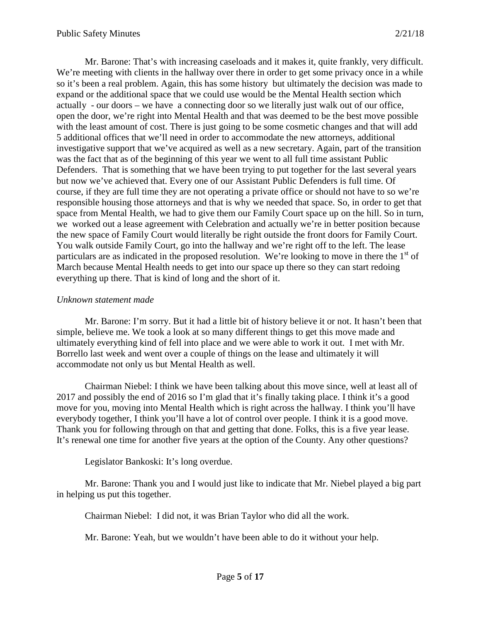Mr. Barone: That's with increasing caseloads and it makes it, quite frankly, very difficult. We're meeting with clients in the hallway over there in order to get some privacy once in a while so it's been a real problem. Again, this has some history but ultimately the decision was made to expand or the additional space that we could use would be the Mental Health section which actually - our doors – we have a connecting door so we literally just walk out of our office, open the door, we're right into Mental Health and that was deemed to be the best move possible with the least amount of cost. There is just going to be some cosmetic changes and that will add 5 additional offices that we'll need in order to accommodate the new attorneys, additional investigative support that we've acquired as well as a new secretary. Again, part of the transition was the fact that as of the beginning of this year we went to all full time assistant Public Defenders. That is something that we have been trying to put together for the last several years but now we've achieved that. Every one of our Assistant Public Defenders is full time. Of course, if they are full time they are not operating a private office or should not have to so we're responsible housing those attorneys and that is why we needed that space. So, in order to get that space from Mental Health, we had to give them our Family Court space up on the hill. So in turn, we worked out a lease agreement with Celebration and actually we're in better position because the new space of Family Court would literally be right outside the front doors for Family Court. You walk outside Family Court, go into the hallway and we're right off to the left. The lease particulars are as indicated in the proposed resolution. We're looking to move in there the  $1<sup>st</sup>$  of March because Mental Health needs to get into our space up there so they can start redoing everything up there. That is kind of long and the short of it.

#### *Unknown statement made*

Mr. Barone: I'm sorry. But it had a little bit of history believe it or not. It hasn't been that simple, believe me. We took a look at so many different things to get this move made and ultimately everything kind of fell into place and we were able to work it out. I met with Mr. Borrello last week and went over a couple of things on the lease and ultimately it will accommodate not only us but Mental Health as well.

Chairman Niebel: I think we have been talking about this move since, well at least all of 2017 and possibly the end of 2016 so I'm glad that it's finally taking place. I think it's a good move for you, moving into Mental Health which is right across the hallway. I think you'll have everybody together, I think you'll have a lot of control over people. I think it is a good move. Thank you for following through on that and getting that done. Folks, this is a five year lease. It's renewal one time for another five years at the option of the County. Any other questions?

#### Legislator Bankoski: It's long overdue.

Mr. Barone: Thank you and I would just like to indicate that Mr. Niebel played a big part in helping us put this together.

Chairman Niebel: I did not, it was Brian Taylor who did all the work.

Mr. Barone: Yeah, but we wouldn't have been able to do it without your help.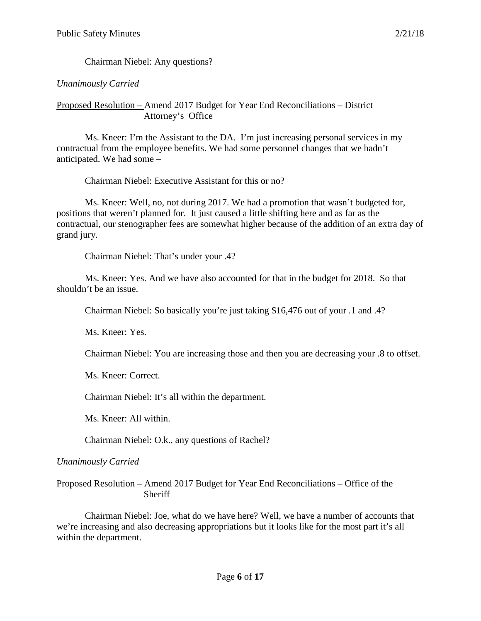Chairman Niebel: Any questions?

## *Unanimously Carried*

Proposed Resolution – Amend 2017 Budget for Year End Reconciliations – District Attorney's Office

Ms. Kneer: I'm the Assistant to the DA. I'm just increasing personal services in my contractual from the employee benefits. We had some personnel changes that we hadn't anticipated. We had some –

Chairman Niebel: Executive Assistant for this or no?

Ms. Kneer: Well, no, not during 2017. We had a promotion that wasn't budgeted for, positions that weren't planned for. It just caused a little shifting here and as far as the contractual, our stenographer fees are somewhat higher because of the addition of an extra day of grand jury.

Chairman Niebel: That's under your .4?

Ms. Kneer: Yes. And we have also accounted for that in the budget for 2018. So that shouldn't be an issue.

Chairman Niebel: So basically you're just taking \$16,476 out of your .1 and .4?

Ms. Kneer: Yes.

Chairman Niebel: You are increasing those and then you are decreasing your .8 to offset.

Ms. Kneer: Correct.

Chairman Niebel: It's all within the department.

Ms. Kneer: All within.

Chairman Niebel: O.k., any questions of Rachel?

*Unanimously Carried*

Proposed Resolution – Amend 2017 Budget for Year End Reconciliations – Office of the **Sheriff** 

Chairman Niebel: Joe, what do we have here? Well, we have a number of accounts that we're increasing and also decreasing appropriations but it looks like for the most part it's all within the department.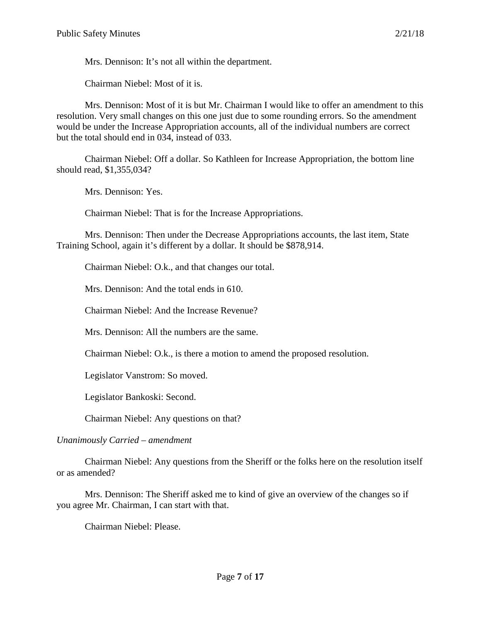Mrs. Dennison: It's not all within the department.

Chairman Niebel: Most of it is.

Mrs. Dennison: Most of it is but Mr. Chairman I would like to offer an amendment to this resolution. Very small changes on this one just due to some rounding errors. So the amendment would be under the Increase Appropriation accounts, all of the individual numbers are correct but the total should end in 034, instead of 033.

Chairman Niebel: Off a dollar. So Kathleen for Increase Appropriation, the bottom line should read, \$1,355,034?

Mrs. Dennison: Yes.

Chairman Niebel: That is for the Increase Appropriations.

Mrs. Dennison: Then under the Decrease Appropriations accounts, the last item, State Training School, again it's different by a dollar. It should be \$878,914.

Chairman Niebel: O.k., and that changes our total.

Mrs. Dennison: And the total ends in 610.

Chairman Niebel: And the Increase Revenue?

Mrs. Dennison: All the numbers are the same.

Chairman Niebel: O.k., is there a motion to amend the proposed resolution.

Legislator Vanstrom: So moved.

Legislator Bankoski: Second.

Chairman Niebel: Any questions on that?

#### *Unanimously Carried – amendment*

Chairman Niebel: Any questions from the Sheriff or the folks here on the resolution itself or as amended?

Mrs. Dennison: The Sheriff asked me to kind of give an overview of the changes so if you agree Mr. Chairman, I can start with that.

Chairman Niebel: Please.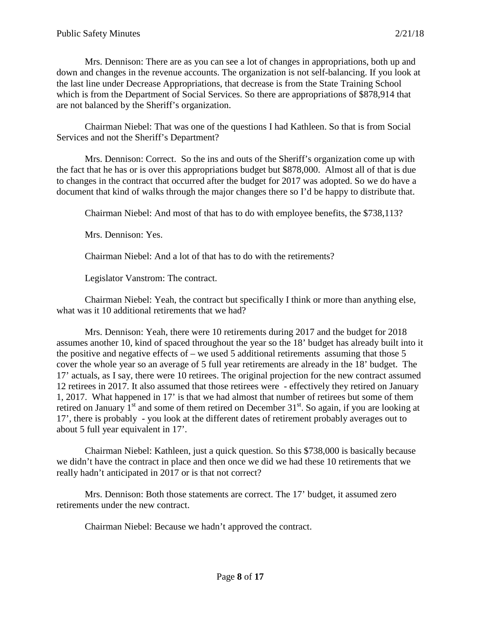Mrs. Dennison: There are as you can see a lot of changes in appropriations, both up and down and changes in the revenue accounts. The organization is not self-balancing. If you look at the last line under Decrease Appropriations, that decrease is from the State Training School which is from the Department of Social Services. So there are appropriations of \$878,914 that are not balanced by the Sheriff's organization.

Chairman Niebel: That was one of the questions I had Kathleen. So that is from Social Services and not the Sheriff's Department?

Mrs. Dennison: Correct. So the ins and outs of the Sheriff's organization come up with the fact that he has or is over this appropriations budget but \$878,000. Almost all of that is due to changes in the contract that occurred after the budget for 2017 was adopted. So we do have a document that kind of walks through the major changes there so I'd be happy to distribute that.

Chairman Niebel: And most of that has to do with employee benefits, the \$738,113?

Mrs. Dennison: Yes.

Chairman Niebel: And a lot of that has to do with the retirements?

Legislator Vanstrom: The contract.

Chairman Niebel: Yeah, the contract but specifically I think or more than anything else, what was it 10 additional retirements that we had?

Mrs. Dennison: Yeah, there were 10 retirements during 2017 and the budget for 2018 assumes another 10, kind of spaced throughout the year so the 18' budget has already built into it the positive and negative effects of – we used 5 additional retirements assuming that those  $5$ cover the whole year so an average of 5 full year retirements are already in the 18' budget. The 17' actuals, as I say, there were 10 retirees. The original projection for the new contract assumed 12 retirees in 2017. It also assumed that those retirees were - effectively they retired on January 1, 2017. What happened in 17' is that we had almost that number of retirees but some of them retired on January  $1<sup>st</sup>$  and some of them retired on December  $31<sup>st</sup>$ . So again, if you are looking at 17', there is probably - you look at the different dates of retirement probably averages out to about 5 full year equivalent in 17'.

Chairman Niebel: Kathleen, just a quick question. So this \$738,000 is basically because we didn't have the contract in place and then once we did we had these 10 retirements that we really hadn't anticipated in 2017 or is that not correct?

Mrs. Dennison: Both those statements are correct. The 17' budget, it assumed zero retirements under the new contract.

Chairman Niebel: Because we hadn't approved the contract.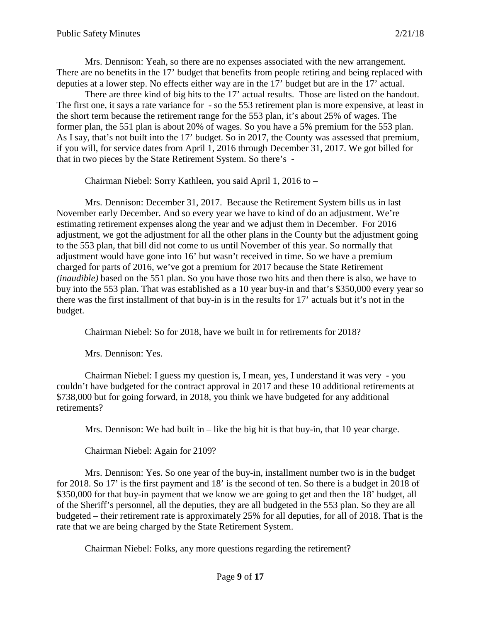Mrs. Dennison: Yeah, so there are no expenses associated with the new arrangement. There are no benefits in the 17' budget that benefits from people retiring and being replaced with deputies at a lower step. No effects either way are in the 17' budget but are in the 17' actual.

There are three kind of big hits to the 17' actual results. Those are listed on the handout. The first one, it says a rate variance for - so the 553 retirement plan is more expensive, at least in the short term because the retirement range for the 553 plan, it's about 25% of wages. The former plan, the 551 plan is about 20% of wages. So you have a 5% premium for the 553 plan. As I say, that's not built into the 17' budget. So in 2017, the County was assessed that premium, if you will, for service dates from April 1, 2016 through December 31, 2017. We got billed for that in two pieces by the State Retirement System. So there's -

Chairman Niebel: Sorry Kathleen, you said April 1, 2016 to –

Mrs. Dennison: December 31, 2017. Because the Retirement System bills us in last November early December. And so every year we have to kind of do an adjustment. We're estimating retirement expenses along the year and we adjust them in December. For 2016 adjustment, we got the adjustment for all the other plans in the County but the adjustment going to the 553 plan, that bill did not come to us until November of this year. So normally that adjustment would have gone into 16' but wasn't received in time. So we have a premium charged for parts of 2016, we've got a premium for 2017 because the State Retirement *(inaudible)* based on the 551 plan. So you have those two hits and then there is also, we have to buy into the 553 plan. That was established as a 10 year buy-in and that's \$350,000 every year so there was the first installment of that buy-in is in the results for 17' actuals but it's not in the budget.

Chairman Niebel: So for 2018, have we built in for retirements for 2018?

Mrs. Dennison: Yes.

Chairman Niebel: I guess my question is, I mean, yes, I understand it was very - you couldn't have budgeted for the contract approval in 2017 and these 10 additional retirements at \$738,000 but for going forward, in 2018, you think we have budgeted for any additional retirements?

Mrs. Dennison: We had built in – like the big hit is that buy-in, that 10 year charge.

Chairman Niebel: Again for 2109?

Mrs. Dennison: Yes. So one year of the buy-in, installment number two is in the budget for 2018. So 17' is the first payment and 18' is the second of ten. So there is a budget in 2018 of \$350,000 for that buy-in payment that we know we are going to get and then the 18' budget, all of the Sheriff's personnel, all the deputies, they are all budgeted in the 553 plan. So they are all budgeted – their retirement rate is approximately 25% for all deputies, for all of 2018. That is the rate that we are being charged by the State Retirement System.

Chairman Niebel: Folks, any more questions regarding the retirement?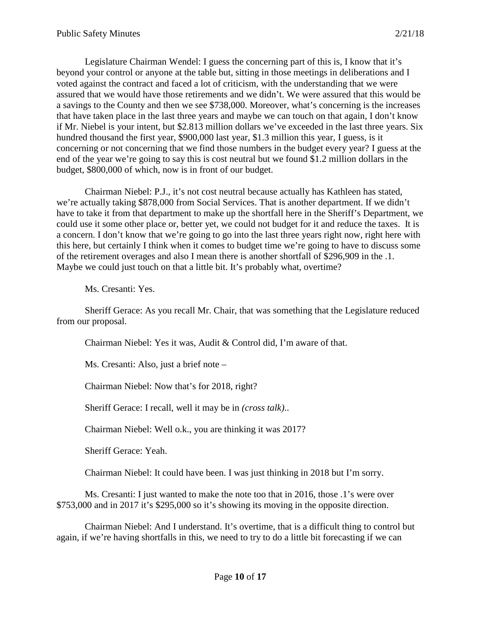Legislature Chairman Wendel: I guess the concerning part of this is, I know that it's beyond your control or anyone at the table but, sitting in those meetings in deliberations and I voted against the contract and faced a lot of criticism, with the understanding that we were assured that we would have those retirements and we didn't. We were assured that this would be a savings to the County and then we see \$738,000. Moreover, what's concerning is the increases that have taken place in the last three years and maybe we can touch on that again, I don't know if Mr. Niebel is your intent, but \$2.813 million dollars we've exceeded in the last three years. Six hundred thousand the first year, \$900,000 last year, \$1.3 million this year, I guess, is it concerning or not concerning that we find those numbers in the budget every year? I guess at the end of the year we're going to say this is cost neutral but we found \$1.2 million dollars in the budget, \$800,000 of which, now is in front of our budget.

Chairman Niebel: P.J., it's not cost neutral because actually has Kathleen has stated, we're actually taking \$878,000 from Social Services. That is another department. If we didn't have to take it from that department to make up the shortfall here in the Sheriff's Department, we could use it some other place or, better yet, we could not budget for it and reduce the taxes. It is a concern. I don't know that we're going to go into the last three years right now, right here with this here, but certainly I think when it comes to budget time we're going to have to discuss some of the retirement overages and also I mean there is another shortfall of \$296,909 in the .1. Maybe we could just touch on that a little bit. It's probably what, overtime?

Ms. Cresanti: Yes.

Sheriff Gerace: As you recall Mr. Chair, that was something that the Legislature reduced from our proposal.

Chairman Niebel: Yes it was, Audit & Control did, I'm aware of that.

Ms. Cresanti: Also, just a brief note –

Chairman Niebel: Now that's for 2018, right?

Sheriff Gerace: I recall, well it may be in *(cross talk)*..

Chairman Niebel: Well o.k., you are thinking it was 2017?

Sheriff Gerace: Yeah.

Chairman Niebel: It could have been. I was just thinking in 2018 but I'm sorry.

Ms. Cresanti: I just wanted to make the note too that in 2016, those .1's were over \$753,000 and in 2017 it's \$295,000 so it's showing its moving in the opposite direction.

Chairman Niebel: And I understand. It's overtime, that is a difficult thing to control but again, if we're having shortfalls in this, we need to try to do a little bit forecasting if we can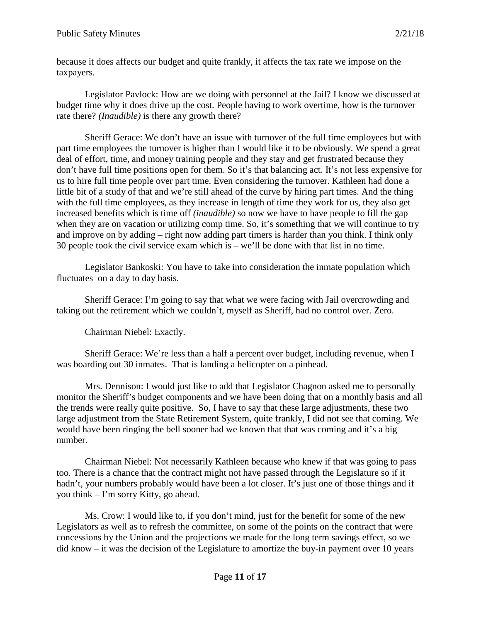because it does affects our budget and quite frankly, it affects the tax rate we impose on the taxpayers.

Legislator Pavlock: How are we doing with personnel at the Jail? I know we discussed at budget time why it does drive up the cost. People having to work overtime, how is the turnover rate there? *(Inaudible)* is there any growth there?

Sheriff Gerace: We don't have an issue with turnover of the full time employees but with part time employees the turnover is higher than I would like it to be obviously. We spend a great deal of effort, time, and money training people and they stay and get frustrated because they don't have full time positions open for them. So it's that balancing act. It's not less expensive for us to hire full time people over part time. Even considering the turnover. Kathleen had done a little bit of a study of that and we're still ahead of the curve by hiring part times. And the thing with the full time employees, as they increase in length of time they work for us, they also get increased benefits which is time off *(inaudible)* so now we have to have people to fill the gap when they are on vacation or utilizing comp time. So, it's something that we will continue to try and improve on by adding – right now adding part timers is harder than you think. I think only 30 people took the civil service exam which is – we'll be done with that list in no time.

Legislator Bankoski: You have to take into consideration the inmate population which fluctuates on a day to day basis.

Sheriff Gerace: I'm going to say that what we were facing with Jail overcrowding and taking out the retirement which we couldn't, myself as Sheriff, had no control over. Zero.

Chairman Niebel: Exactly.

Sheriff Gerace: We're less than a half a percent over budget, including revenue, when I was boarding out 30 inmates. That is landing a helicopter on a pinhead.

Mrs. Dennison: I would just like to add that Legislator Chagnon asked me to personally monitor the Sheriff's budget components and we have been doing that on a monthly basis and all the trends were really quite positive. So, I have to say that these large adjustments, these two large adjustment from the State Retirement System, quite frankly, I did not see that coming. We would have been ringing the bell sooner had we known that that was coming and it's a big number.

Chairman Niebel: Not necessarily Kathleen because who knew if that was going to pass too. There is a chance that the contract might not have passed through the Legislature so if it hadn't, your numbers probably would have been a lot closer. It's just one of those things and if you think – I'm sorry Kitty, go ahead.

Ms. Crow: I would like to, if you don't mind, just for the benefit for some of the new Legislators as well as to refresh the committee, on some of the points on the contract that were concessions by the Union and the projections we made for the long term savings effect, so we did know – it was the decision of the Legislature to amortize the buy-in payment over 10 years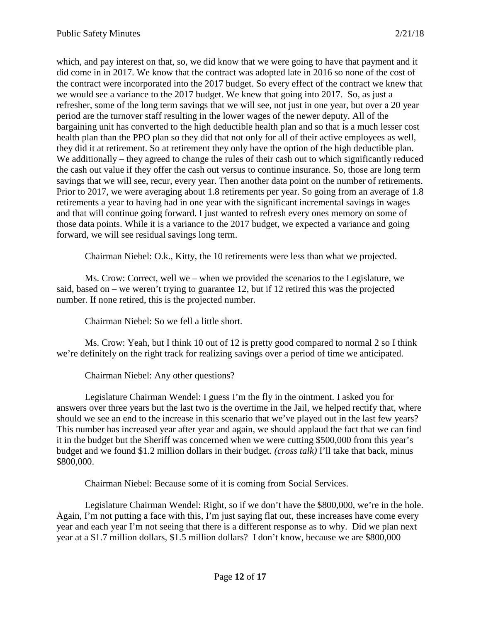which, and pay interest on that, so, we did know that we were going to have that payment and it did come in in 2017. We know that the contract was adopted late in 2016 so none of the cost of the contract were incorporated into the 2017 budget. So every effect of the contract we knew that we would see a variance to the 2017 budget. We knew that going into 2017. So, as just a refresher, some of the long term savings that we will see, not just in one year, but over a 20 year period are the turnover staff resulting in the lower wages of the newer deputy. All of the bargaining unit has converted to the high deductible health plan and so that is a much lesser cost health plan than the PPO plan so they did that not only for all of their active employees as well, they did it at retirement. So at retirement they only have the option of the high deductible plan. We additionally – they agreed to change the rules of their cash out to which significantly reduced the cash out value if they offer the cash out versus to continue insurance. So, those are long term savings that we will see, recur, every year. Then another data point on the number of retirements. Prior to 2017, we were averaging about 1.8 retirements per year. So going from an average of 1.8 retirements a year to having had in one year with the significant incremental savings in wages and that will continue going forward. I just wanted to refresh every ones memory on some of those data points. While it is a variance to the 2017 budget, we expected a variance and going forward, we will see residual savings long term.

Chairman Niebel: O.k., Kitty, the 10 retirements were less than what we projected.

Ms. Crow: Correct, well we – when we provided the scenarios to the Legislature, we said, based on – we weren't trying to guarantee 12, but if 12 retired this was the projected number. If none retired, this is the projected number.

Chairman Niebel: So we fell a little short.

Ms. Crow: Yeah, but I think 10 out of 12 is pretty good compared to normal 2 so I think we're definitely on the right track for realizing savings over a period of time we anticipated.

Chairman Niebel: Any other questions?

Legislature Chairman Wendel: I guess I'm the fly in the ointment. I asked you for answers over three years but the last two is the overtime in the Jail, we helped rectify that, where should we see an end to the increase in this scenario that we've played out in the last few years? This number has increased year after year and again, we should applaud the fact that we can find it in the budget but the Sheriff was concerned when we were cutting \$500,000 from this year's budget and we found \$1.2 million dollars in their budget. *(cross talk)* I'll take that back, minus \$800,000.

Chairman Niebel: Because some of it is coming from Social Services.

Legislature Chairman Wendel: Right, so if we don't have the \$800,000, we're in the hole. Again, I'm not putting a face with this, I'm just saying flat out, these increases have come every year and each year I'm not seeing that there is a different response as to why. Did we plan next year at a \$1.7 million dollars, \$1.5 million dollars? I don't know, because we are \$800,000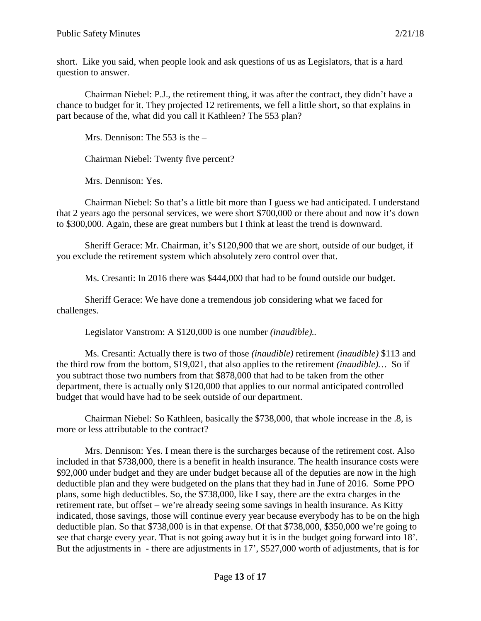short. Like you said, when people look and ask questions of us as Legislators, that is a hard question to answer.

Chairman Niebel: P.J., the retirement thing, it was after the contract, they didn't have a chance to budget for it. They projected 12 retirements, we fell a little short, so that explains in part because of the, what did you call it Kathleen? The 553 plan?

Mrs. Dennison: The 553 is the –

Chairman Niebel: Twenty five percent?

Mrs. Dennison: Yes.

Chairman Niebel: So that's a little bit more than I guess we had anticipated. I understand that 2 years ago the personal services, we were short \$700,000 or there about and now it's down to \$300,000. Again, these are great numbers but I think at least the trend is downward.

Sheriff Gerace: Mr. Chairman, it's \$120,900 that we are short, outside of our budget, if you exclude the retirement system which absolutely zero control over that.

Ms. Cresanti: In 2016 there was \$444,000 that had to be found outside our budget.

Sheriff Gerace: We have done a tremendous job considering what we faced for challenges.

Legislator Vanstrom: A \$120,000 is one number *(inaudible)..*

Ms. Cresanti: Actually there is two of those *(inaudible)* retirement *(inaudible)* \$113 and the third row from the bottom, \$19,021, that also applies to the retirement *(inaudible)…* So if you subtract those two numbers from that \$878,000 that had to be taken from the other department, there is actually only \$120,000 that applies to our normal anticipated controlled budget that would have had to be seek outside of our department.

Chairman Niebel: So Kathleen, basically the \$738,000, that whole increase in the .8, is more or less attributable to the contract?

Mrs. Dennison: Yes. I mean there is the surcharges because of the retirement cost. Also included in that \$738,000, there is a benefit in health insurance. The health insurance costs were \$92,000 under budget and they are under budget because all of the deputies are now in the high deductible plan and they were budgeted on the plans that they had in June of 2016. Some PPO plans, some high deductibles. So, the \$738,000, like I say, there are the extra charges in the retirement rate, but offset – we're already seeing some savings in health insurance. As Kitty indicated, those savings, those will continue every year because everybody has to be on the high deductible plan. So that \$738,000 is in that expense. Of that \$738,000, \$350,000 we're going to see that charge every year. That is not going away but it is in the budget going forward into 18'. But the adjustments in - there are adjustments in 17', \$527,000 worth of adjustments, that is for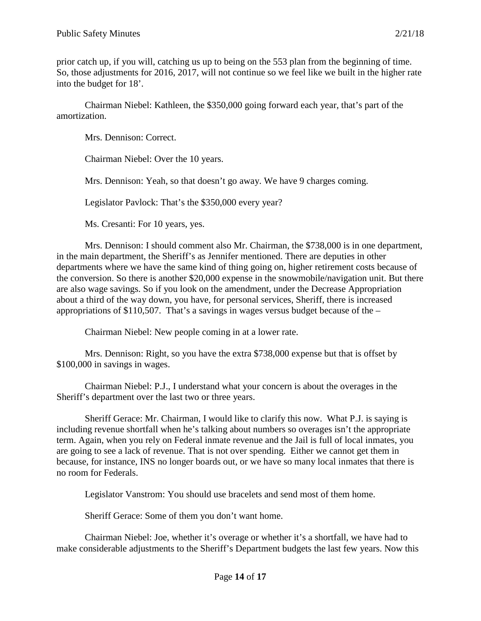prior catch up, if you will, catching us up to being on the 553 plan from the beginning of time. So, those adjustments for 2016, 2017, will not continue so we feel like we built in the higher rate into the budget for 18'.

Chairman Niebel: Kathleen, the \$350,000 going forward each year, that's part of the amortization.

Mrs. Dennison: Correct.

Chairman Niebel: Over the 10 years.

Mrs. Dennison: Yeah, so that doesn't go away. We have 9 charges coming.

Legislator Pavlock: That's the \$350,000 every year?

Ms. Cresanti: For 10 years, yes.

Mrs. Dennison: I should comment also Mr. Chairman, the \$738,000 is in one department, in the main department, the Sheriff's as Jennifer mentioned. There are deputies in other departments where we have the same kind of thing going on, higher retirement costs because of the conversion. So there is another \$20,000 expense in the snowmobile/navigation unit. But there are also wage savings. So if you look on the amendment, under the Decrease Appropriation about a third of the way down, you have, for personal services, Sheriff, there is increased appropriations of \$110,507. That's a savings in wages versus budget because of the –

Chairman Niebel: New people coming in at a lower rate.

Mrs. Dennison: Right, so you have the extra \$738,000 expense but that is offset by \$100,000 in savings in wages.

Chairman Niebel: P.J., I understand what your concern is about the overages in the Sheriff's department over the last two or three years.

Sheriff Gerace: Mr. Chairman, I would like to clarify this now. What P.J. is saying is including revenue shortfall when he's talking about numbers so overages isn't the appropriate term. Again, when you rely on Federal inmate revenue and the Jail is full of local inmates, you are going to see a lack of revenue. That is not over spending. Either we cannot get them in because, for instance, INS no longer boards out, or we have so many local inmates that there is no room for Federals.

Legislator Vanstrom: You should use bracelets and send most of them home.

Sheriff Gerace: Some of them you don't want home.

Chairman Niebel: Joe, whether it's overage or whether it's a shortfall, we have had to make considerable adjustments to the Sheriff's Department budgets the last few years. Now this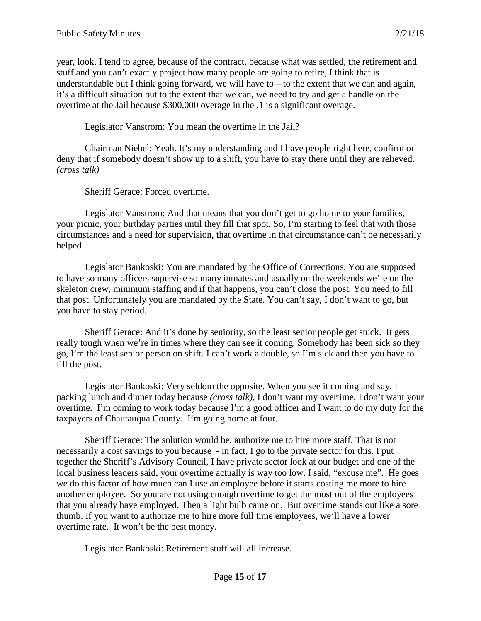year, look, I tend to agree, because of the contract, because what was settled, the retirement and stuff and you can't exactly project how many people are going to retire, I think that is understandable but I think going forward, we will have to  $-$  to the extent that we can and again, it's a difficult situation but to the extent that we can, we need to try and get a handle on the overtime at the Jail because \$300,000 overage in the .1 is a significant overage.

Legislator Vanstrom: You mean the overtime in the Jail?

Chairman Niebel: Yeah. It's my understanding and I have people right here, confirm or deny that if somebody doesn't show up to a shift, you have to stay there until they are relieved. *(cross talk)*

Sheriff Gerace: Forced overtime.

Legislator Vanstrom: And that means that you don't get to go home to your families, your picnic, your birthday parties until they fill that spot. So, I'm starting to feel that with those circumstances and a need for supervision, that overtime in that circumstance can't be necessarily helped.

Legislator Bankoski: You are mandated by the Office of Corrections. You are supposed to have so many officers supervise so many inmates and usually on the weekends we're on the skeleton crew, minimum staffing and if that happens, you can't close the post. You need to fill that post. Unfortunately you are mandated by the State. You can't say, I don't want to go, but you have to stay period.

Sheriff Gerace: And it's done by seniority, so the least senior people get stuck. It gets really tough when we're in times where they can see it coming. Somebody has been sick so they go, I'm the least senior person on shift. I can't work a double, so I'm sick and then you have to fill the post.

Legislator Bankoski: Very seldom the opposite. When you see it coming and say, I packing lunch and dinner today because *(cross talk)*, I don't want my overtime, I don't want your overtime. I'm coming to work today because I'm a good officer and I want to do my duty for the taxpayers of Chautauqua County. I'm going home at four.

Sheriff Gerace: The solution would be, authorize me to hire more staff. That is not necessarily a cost savings to you because - in fact, I go to the private sector for this. I put together the Sheriff's Advisory Council, I have private sector look at our budget and one of the local business leaders said, your overtime actually is way too low. I said, "excuse me". He goes we do this factor of how much can I use an employee before it starts costing me more to hire another employee. So you are not using enough overtime to get the most out of the employees that you already have employed. Then a light bulb came on. But overtime stands out like a sore thumb. If you want to authorize me to hire more full time employees, we'll have a lower overtime rate. It won't be the best money.

Legislator Bankoski: Retirement stuff will all increase.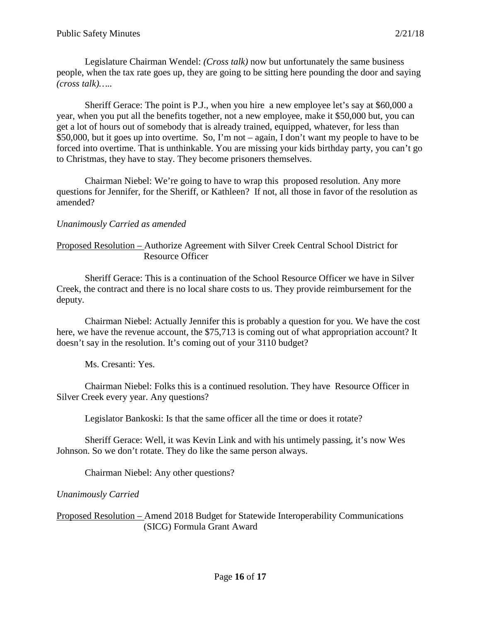Legislature Chairman Wendel: *(Cross talk)* now but unfortunately the same business people, when the tax rate goes up, they are going to be sitting here pounding the door and saying *(cross talk)…..*

Sheriff Gerace: The point is P.J., when you hire a new employee let's say at \$60,000 a year, when you put all the benefits together, not a new employee, make it \$50,000 but, you can get a lot of hours out of somebody that is already trained, equipped, whatever, for less than \$50,000, but it goes up into overtime. So, I'm not – again, I don't want my people to have to be forced into overtime. That is unthinkable. You are missing your kids birthday party, you can't go to Christmas, they have to stay. They become prisoners themselves.

Chairman Niebel: We're going to have to wrap this proposed resolution. Any more questions for Jennifer, for the Sheriff, or Kathleen? If not, all those in favor of the resolution as amended?

#### *Unanimously Carried as amended*

### Proposed Resolution – Authorize Agreement with Silver Creek Central School District for Resource Officer

Sheriff Gerace: This is a continuation of the School Resource Officer we have in Silver Creek, the contract and there is no local share costs to us. They provide reimbursement for the deputy.

Chairman Niebel: Actually Jennifer this is probably a question for you. We have the cost here, we have the revenue account, the \$75,713 is coming out of what appropriation account? It doesn't say in the resolution. It's coming out of your 3110 budget?

Ms. Cresanti: Yes.

Chairman Niebel: Folks this is a continued resolution. They have Resource Officer in Silver Creek every year. Any questions?

Legislator Bankoski: Is that the same officer all the time or does it rotate?

Sheriff Gerace: Well, it was Kevin Link and with his untimely passing, it's now Wes Johnson. So we don't rotate. They do like the same person always.

Chairman Niebel: Any other questions?

*Unanimously Carried*

Proposed Resolution – Amend 2018 Budget for Statewide Interoperability Communications (SICG) Formula Grant Award